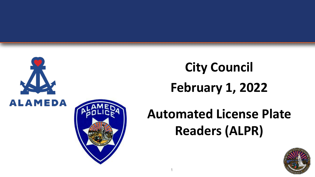



# **City Council February 1, 2022**

### **Automated License Plate Readers (ALPR)**

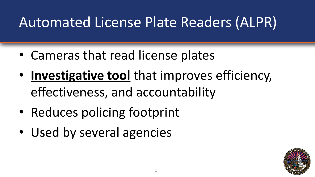### Automated License Plate Readers (ALPR)

- Cameras that read license plates
- **Investigative tool** that improves efficiency, effectiveness, and accountability
- Reduces policing footprint
- Used by several agencies

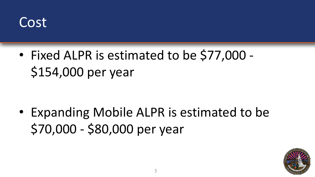

• Fixed ALPR is estimated to be \$77,000 - \$154,000 per year

• Expanding Mobile ALPR is estimated to be \$70,000 - \$80,000 per year

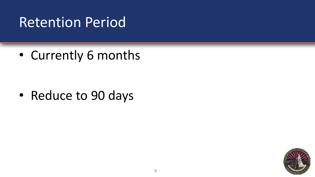### Retention Period

• Currently 6 months

• Reduce to 90 days

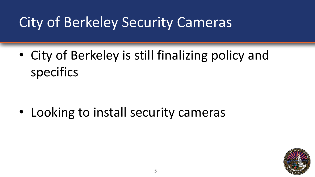### City of Berkeley Security Cameras

• City of Berkeley is still finalizing policy and specifics

• Looking to install security cameras

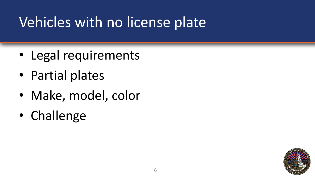### Vehicles with no license plate

- Legal requirements
- Partial plates
- Make, model, color
- Challenge

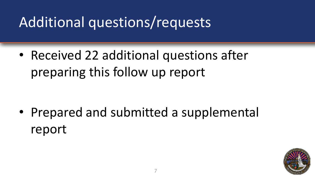### Additional questions/requests

• Received 22 additional questions after preparing this follow up report

• Prepared and submitted a supplemental report

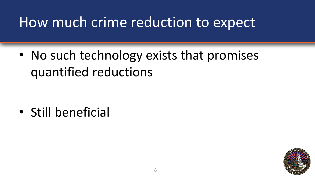### How much crime reduction to expect

• No such technology exists that promises quantified reductions

• Still beneficial

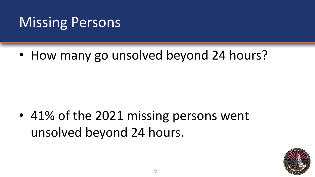### Missing Persons

• How many go unsolved beyond 24 hours?

• 41% of the 2021 missing persons went unsolved beyond 24 hours.

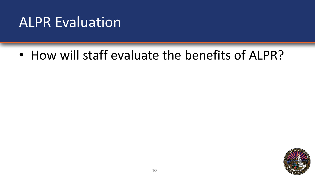#### ALPR Evaluation

• How will staff evaluate the benefits of ALPR?

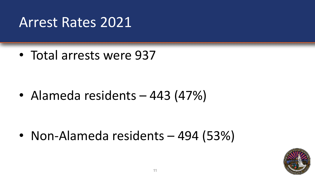#### Arrest Rates 2021

• Total arrests were 937

• Alameda residents – 443 (47%)

• Non-Alameda residents – 494 (53%)

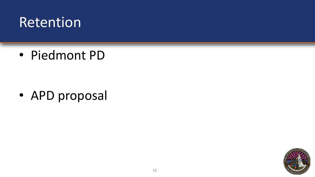#### Retention

• Piedmont PD

• APD proposal

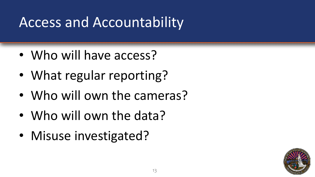### Access and Accountability

- Who will have access?
- What regular reporting?
- Who will own the cameras?
- Who will own the data?
- Misuse investigated?

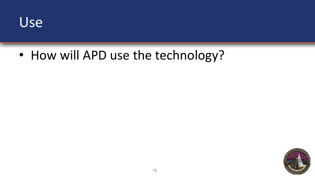

• How will APD use the technology?

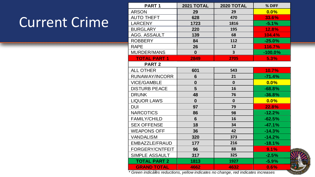### Current Crime

| <b>PART1</b>         | 2021 TOTAL  | 2020 TOTAL              | % DIFF     |                 |
|----------------------|-------------|-------------------------|------------|-----------------|
| <b>ARSON</b>         | 29          | 29                      | 0.0%       |                 |
| <b>AUTO THEFT</b>    | 628         | 470                     | 33.6%      |                 |
| <b>LARCENY</b>       | 1723        | 1816                    | $-5.1%$    |                 |
| <b>BURGLARY</b>      | 220         | 195                     | 12.8%      |                 |
| AGG. ASSAULT         | 139         | 68                      | 104.4%     |                 |
| <b>ROBBERY</b>       | 84          | 112                     | $-25.0%$   |                 |
| <b>RAPE</b>          | 26          | 12                      | 116.7%     |                 |
| MURDER/MANS          | $\bf{0}$    | $\overline{\mathbf{3}}$ | $-100.0\%$ |                 |
| <b>TOTAL PART 1</b>  | 2849        | 2705                    | 5.3%       |                 |
| <b>PART 2</b>        |             |                         |            |                 |
| ALL OTHER            | 601         | 543                     | 10.7%      |                 |
| RUNAWAY/INCORR       | 6           | 21                      | $-71.4%$   |                 |
| <b>VICE/GAMBLE</b>   | $\mathbf 0$ | $\mathbf{0}$            | $0.0\%$    |                 |
| <b>DISTURB PEACE</b> | 5           | 16                      | $-68.8%$   |                 |
| <b>DRUNK</b>         | 48          | 76                      | $-36.8%$   |                 |
| <b>LIQUOR LAWS</b>   | $\bf{0}$    | $\mathbf{0}$            | $0.0\%$    |                 |
| <b>DUI</b>           | 97          | 79                      | 22.8%      |                 |
| <b>NARCOTICS</b>     | 86          | 98                      | $-12.2%$   |                 |
| <b>FAMILY/CHILD</b>  | 6           | 16                      | $-62.5%$   |                 |
| <b>SEX OFFENSE</b>   | 18          | 34                      | $-47.1%$   |                 |
| <b>WEAPONS OFF</b>   | 36          | 42                      | $-14.3%$   |                 |
| <b>VANDALISM</b>     | 320         | 373                     | $-14.2%$   |                 |
| EMBAZZLE/FRAUD       | 177         | 216                     | $-18.1%$   |                 |
| FORGERY/CNTFEIT      | 96          | 88                      | 9.1%       | $\overline{CT}$ |
| SIMPLE ASSAULT       | 317         | 325                     | $-2.5%$    |                 |
| <b>TOTAL PART 2</b>  | 1813        | 1927                    | $-5.9%$    |                 |
| <b>GRAND TOTAL</b>   | 4662        | 4632                    | 0.6%       | あた              |
|                      |             |                         |            |                 |

15 *\* Green indicates reductions, yellow indicates no change, red indicates increases*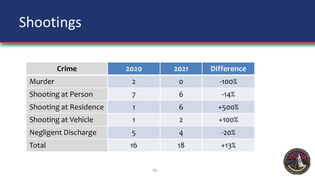### Shootings

| <b>Crime</b>                 | 2020          | 2021          | <b>Difference</b> |
|------------------------------|---------------|---------------|-------------------|
| Murder                       | $\mathcal{L}$ | $\mathbf O$   | $-100%$           |
| <b>Shooting at Person</b>    |               | 6             | $-14%$            |
| <b>Shooting at Residence</b> |               | 6             | $+500%$           |
| Shooting at Vehicle          |               | $\mathcal{L}$ | $+100%$           |
| Negligent Discharge          |               | 4             | $-20%$            |
| Total                        | 16            | 18            | $+13%$            |